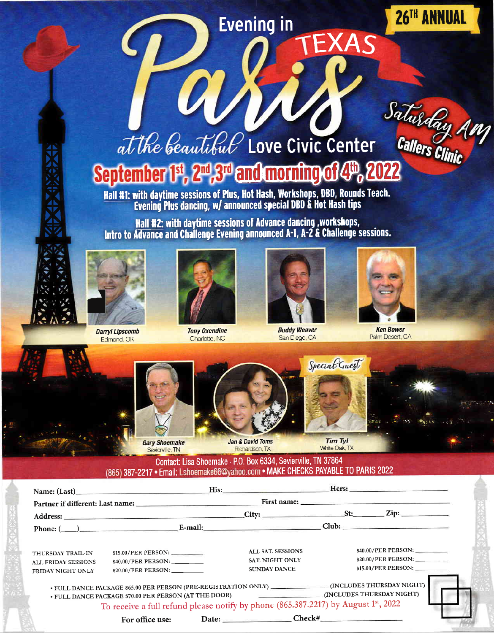## **Evening in**

26TH ANNUAL

# at the beautiful Love Civic Center Callers Clinic September 1st, 2<sup>nd</sup>, 3<sup>rd</sup> and morning of 4<sup>th</sup>

Hall #1: with daytime sessions of Plus, Hot Hash, Workshops, DBD, Rounds Teach.<br>Evening Plus dancing, w/ announced special DBD & Hot Hash tips

Hall #2: with daytime sessions of Advance dancing, workshops, Intro to Advance and Challenge Evening announced A-1, A-2 & Challenge sessions.



**Darryl Lipscomb** Edmond, OK



**Tony Oxendine** Charlotte, NC



**Buddy Weaver** San Diego, CA



**Ken Bower** Palm Desert, CA



**Gary Shoemake** Sevierville, TN



**Jan & David Toms** Richardson, TX



EXAS

**Tim Tyl** White Oak. TX

#### Contact: Lisa Shoemake · P.O. Box 6334, Sevierville, TN 37864 (865) 387-2217 · Email: Lshoemake66@yahoo.com · MAKE CHECKS PAYABLE TO PARIS 2022

|                                                                      | Name: (Last) His: His: Hers: Hers:                                                                                                                                                                                                                                                   |                                                                           |                                                                                                                                                                                                                                |
|----------------------------------------------------------------------|--------------------------------------------------------------------------------------------------------------------------------------------------------------------------------------------------------------------------------------------------------------------------------------|---------------------------------------------------------------------------|--------------------------------------------------------------------------------------------------------------------------------------------------------------------------------------------------------------------------------|
|                                                                      | Partner if different: Last name: New York Contract to the Contract of the Partner.                                                                                                                                                                                                   |                                                                           | First name: The Commission of the Commission of the Commission of the Commission of the Commission of the Commission of the Commission of the Commission of the Commission of the Commission of the Commission of the Commissi |
|                                                                      |                                                                                                                                                                                                                                                                                      |                                                                           |                                                                                                                                                                                                                                |
|                                                                      |                                                                                                                                                                                                                                                                                      |                                                                           |                                                                                                                                                                                                                                |
| THURSDAY TRAIL-IN<br><b>ALL FRIDAY SESSIONS</b><br>FRIDAY NIGHT ONLY | \$40.00/PER PERSON: ________<br>$$20.00/PER$ PERSON: ______                                                                                                                                                                                                                          | <b>ALL SAT. SESSIONS</b><br><b>SAT. NIGHT ONLY</b><br><b>SUNDAY DANCE</b> | \$40.00/PER PERSON:<br>\$20.00/PER PERSON: __________<br>\$15.00/PER PERSON: _________                                                                                                                                         |
|                                                                      | • FULL DANCE PACKAGE \$65.00 PER PERSON (PRE-REGISTRATION ONLY) __________________(INCLUDES THURSDAY NIGHT)<br>• FULL DANCE PACKAGE \$70.00 PER PERSON (AT THE DOOR) (INCLUDES THURSDAY NIGHT)<br>To receive a full refund please notify by phone (865.387.2217) by August 1st, 2022 |                                                                           |                                                                                                                                                                                                                                |
|                                                                      | For office use:                                                                                                                                                                                                                                                                      |                                                                           |                                                                                                                                                                                                                                |